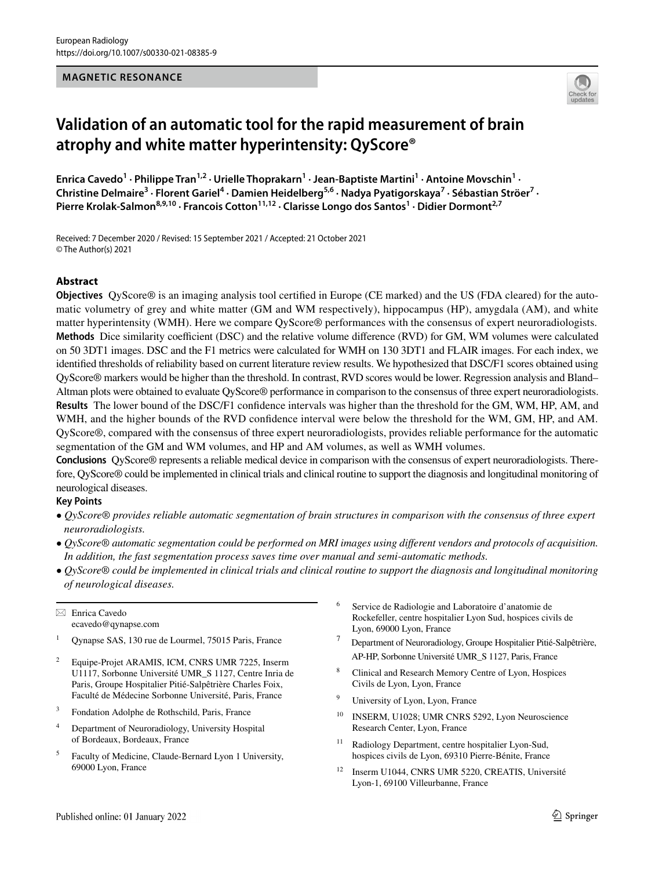#### **MAGNETIC RESONANCE**



# **Validation of an automatic tool for the rapid measurement of brain atrophy and white matter hyperintensity: QyScore®**

Enrica Cavedo<sup>1</sup> · Philippe Tran<sup>1,2</sup> · Urielle Thoprakarn<sup>1</sup> · Jean-Baptiste Martini<sup>1</sup> · Antoine Movschin<sup>1</sup> · Christine Delmaire<sup>3</sup> · Florent Gariel<sup>4</sup> · Damien Heidelberg<sup>5,6</sup> · Nadya Pyatigorskaya<sup>7</sup> · Sébastian Ströer<sup>7</sup> · Pierre Krolak-Salmon<sup>8,9,10</sup> · Francois Cotton<sup>11,12</sup> · Clarisse Longo dos Santos<sup>1</sup> · Didier Dormont<sup>2,7</sup>

Received: 7 December 2020 / Revised: 15 September 2021 / Accepted: 21 October 2021 © The Author(s) 2021

## **Abstract**

**Objectives** QyScore® is an imaging analysis tool certifed in Europe (CE marked) and the US (FDA cleared) for the automatic volumetry of grey and white matter (GM and WM respectively), hippocampus (HP), amygdala (AM), and white matter hyperintensity (WMH). Here we compare QyScore® performances with the consensus of expert neuroradiologists. **Methods** Dice similarity coefficient (DSC) and the relative volume difference (RVD) for GM, WM volumes were calculated on 50 3DT1 images. DSC and the F1 metrics were calculated for WMH on 130 3DT1 and FLAIR images. For each index, we identifed thresholds of reliability based on current literature review results. We hypothesized that DSC/F1 scores obtained using QyScore® markers would be higher than the threshold. In contrast, RVD scores would be lower. Regression analysis and Bland– Altman plots were obtained to evaluate QyScore® performance in comparison to the consensus of three expert neuroradiologists. **Results** The lower bound of the DSC/F1 confdence intervals was higher than the threshold for the GM, WM, HP, AM, and WMH, and the higher bounds of the RVD confdence interval were below the threshold for the WM, GM, HP, and AM. QyScore®, compared with the consensus of three expert neuroradiologists, provides reliable performance for the automatic segmentation of the GM and WM volumes, and HP and AM volumes, as well as WMH volumes.

**Conclusions** QyScore® represents a reliable medical device in comparison with the consensus of expert neuroradiologists. Therefore, QyScore® could be implemented in clinical trials and clinical routine to support the diagnosis and longitudinal monitoring of neurological diseases.

## **Key Points**

- *QyScore® provides reliable automatic segmentation of brain structures in comparison with the consensus of three expert neuroradiologists.*
- *QyScore® automatic segmentation could be performed on MRI images using diferent vendors and protocols of acquisition. In addition, the fast segmentation process saves time over manual and semi-automatic methods.*
- *QyScore® could be implemented in clinical trials and clinical routine to support the diagnosis and longitudinal monitoring of neurological diseases.*

 $\boxtimes$  Enrica Cavedo ecavedo@qynapse.com

- <sup>2</sup> Equipe-Projet ARAMIS, ICM, CNRS UMR 7225, Inserm U1117, Sorbonne Université UMR\_S 1127, Centre Inria de Paris, Groupe Hospitalier Pitié-Salpêtrière Charles Foix, Faculté de Médecine Sorbonne Université, Paris, France
- <sup>3</sup> Fondation Adolphe de Rothschild, Paris, France
- <sup>4</sup> Department of Neuroradiology, University Hospital of Bordeaux, Bordeaux, France
- <sup>5</sup> Faculty of Medicine, Claude-Bernard Lyon 1 University, 69000 Lyon, France
- <sup>6</sup> Service de Radiologie and Laboratoire d'anatomie de Rockefeller, centre hospitalier Lyon Sud, hospices civils de Lyon, 69000 Lyon, France
- 7 Department of Neuroradiology, Groupe Hospitalier Pitié-Salpêtrière, AP-HP, Sorbonne Université UMR\_S 1127, Paris, France
- Clinical and Research Memory Centre of Lyon, Hospices Civils de Lyon, Lyon, France
- University of Lyon, Lyon, France
- <sup>10</sup> INSERM, U1028; UMR CNRS 5292, Lyon Neuroscience Research Center, Lyon, France
- <sup>11</sup> Radiology Department, centre hospitalier Lyon-Sud, hospices civils de Lyon, 69310 Pierre-Bénite, France
- <sup>12</sup> Inserm U1044, CNRS UMR 5220, CREATIS, Université Lyon-1, 69100 Villeurbanne, France

<sup>&</sup>lt;sup>1</sup> Qynapse SAS, 130 rue de Lourmel, 75015 Paris, France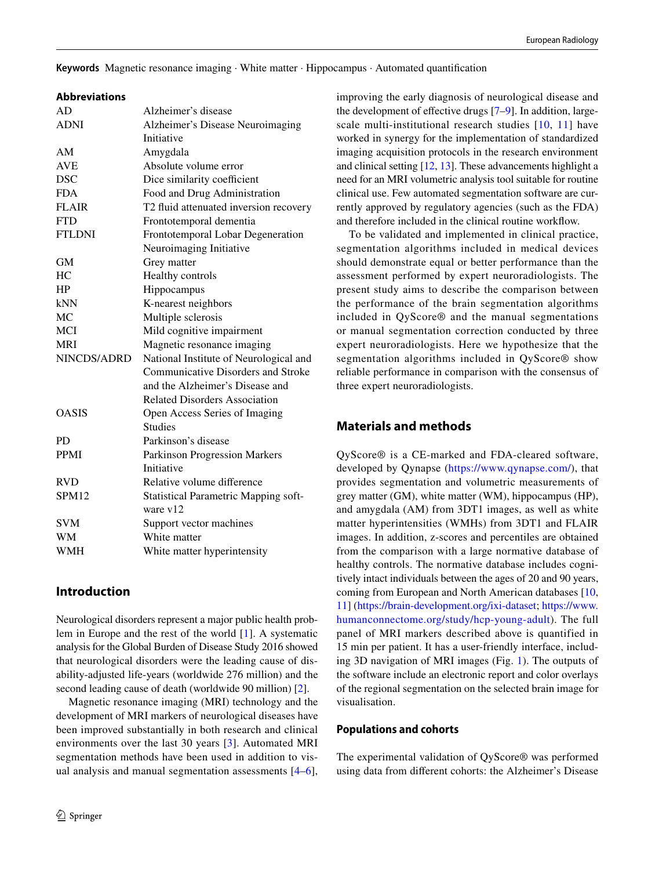**Keywords** Magnetic resonance imaging · White matter · Hippocampus · Automated quantifcation

## **Abbreviations**

| AD                | Alzheimer's disease                         |
|-------------------|---------------------------------------------|
| <b>ADNI</b>       | Alzheimer's Disease Neuroimaging            |
|                   | Initiative                                  |
| AM                | Amygdala                                    |
| <b>AVE</b>        | Absolute volume error                       |
| <b>DSC</b>        | Dice similarity coefficient                 |
| <b>FDA</b>        | Food and Drug Administration                |
| <b>FLAIR</b>      | T2 fluid attenuated inversion recovery      |
| <b>FTD</b>        | Frontotemporal dementia                     |
| <b>FTLDNI</b>     | Frontotemporal Lobar Degeneration           |
|                   | Neuroimaging Initiative                     |
| <b>GM</b>         | Grey matter                                 |
| HC                | Healthy controls                            |
| HP                | Hippocampus                                 |
| kNN               | K-nearest neighbors                         |
| <b>MC</b>         | Multiple sclerosis                          |
| <b>MCI</b>        | Mild cognitive impairment                   |
| <b>MRI</b>        | Magnetic resonance imaging                  |
| NINCDS/ADRD       | National Institute of Neurological and      |
|                   | <b>Communicative Disorders and Stroke</b>   |
|                   | and the Alzheimer's Disease and             |
|                   | <b>Related Disorders Association</b>        |
| <b>OASIS</b>      | Open Access Series of Imaging               |
|                   | <b>Studies</b>                              |
| <b>PD</b>         | Parkinson's disease                         |
| <b>PPMI</b>       | <b>Parkinson Progression Markers</b>        |
|                   | Initiative                                  |
| <b>RVD</b>        | Relative volume difference                  |
| SPM <sub>12</sub> | <b>Statistical Parametric Mapping soft-</b> |
|                   | ware v12                                    |
| <b>SVM</b>        | Support vector machines                     |
| <b>WM</b>         | White matter                                |
| <b>WMH</b>        | White matter hyperintensity                 |

# **Introduction**

Neurological disorders represent a major public health problem in Europe and the rest of the world [[1\]](#page-10-0). A systematic analysis for the Global Burden of Disease Study 2016 showed that neurological disorders were the leading cause of disability-adjusted life-years (worldwide 276 million) and the second leading cause of death (worldwide 90 million) [[2\]](#page-10-1).

Magnetic resonance imaging (MRI) technology and the development of MRI markers of neurological diseases have been improved substantially in both research and clinical environments over the last 30 years [[3\]](#page-11-6). Automated MRI segmentation methods have been used in addition to visual analysis and manual segmentation assessments [[4–](#page-11-7)[6](#page-11-8)],

improving the early diagnosis of neurological disease and the development of effective drugs  $[7-9]$  $[7-9]$ . In addition, large-scale multi-institutional research studies [[10](#page-11-2), [11\]](#page-11-3) have worked in synergy for the implementation of standardized imaging acquisition protocols in the research environment and clinical setting [[12,](#page-11-4) [13](#page-11-5)]. These advancements highlight a need for an MRI volumetric analysis tool suitable for routine clinical use. Few automated segmentation software are currently approved by regulatory agencies (such as the FDA) and therefore included in the clinical routine workfow.

To be validated and implemented in clinical practice, segmentation algorithms included in medical devices should demonstrate equal or better performance than the assessment performed by expert neuroradiologists. The present study aims to describe the comparison between the performance of the brain segmentation algorithms included in QyScore® and the manual segmentations or manual segmentation correction conducted by three expert neuroradiologists. Here we hypothesize that the segmentation algorithms included in QyScore® show reliable performance in comparison with the consensus of three expert neuroradiologists.

# **Materials and methods**

QyScore® is a CE-marked and FDA-cleared software, developed by Qynapse (<https://www.qynapse.com/>), that provides segmentation and volumetric measurements of grey matter (GM), white matter (WM), hippocampus (HP), and amygdala (AM) from 3DT1 images, as well as white matter hyperintensities (WMHs) from 3DT1 and FLAIR images. In addition, z-scores and percentiles are obtained from the comparison with a large normative database of healthy controls. The normative database includes cognitively intact individuals between the ages of 20 and 90 years, coming from European and North American databases [[10,](#page-11-2) [11](#page-11-3)] [\(https://brain-development.org/ixi-dataset;](https://brain-development.org/ixi-dataset) [https://www.](https://www.humanconnectome.org/study/hcp-young-adult) [humanconnectome.org/study/hcp-young-adult](https://www.humanconnectome.org/study/hcp-young-adult)). The full panel of MRI markers described above is quantified in 15 min per patient. It has a user-friendly interface, including 3D navigation of MRI images (Fig. [1](#page-2-0)). The outputs of the software include an electronic report and color overlays of the regional segmentation on the selected brain image for visualisation.

## **Populations and cohorts**

The experimental validation of QyScore® was performed using data from diferent cohorts: the Alzheimer's Disease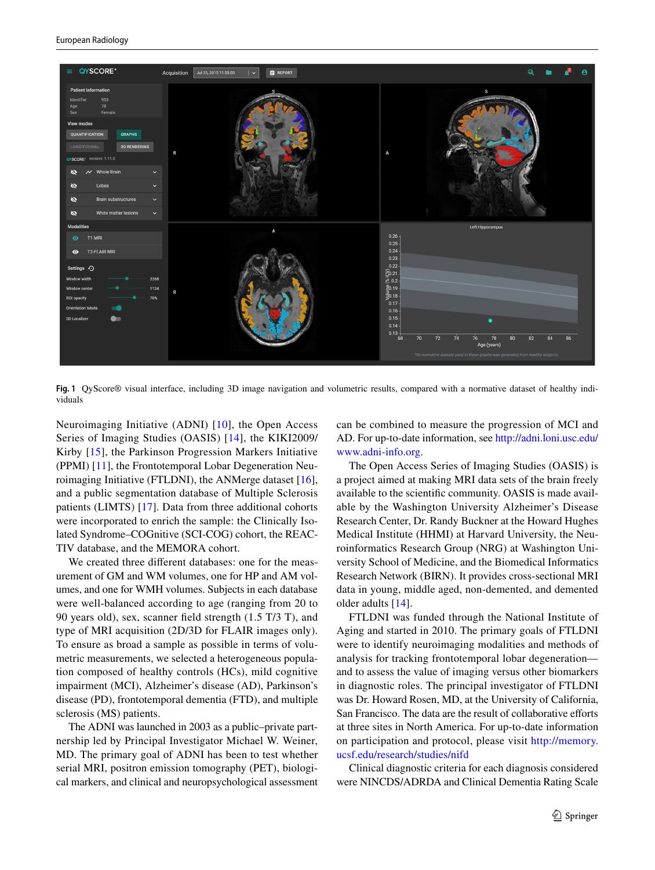

<span id="page-2-0"></span>**Fig. 1** QyScore® visual interface, including 3D image navigation and volumetric results, compared with a normative dataset of healthy individuals

Neuroimaging Initiative (ADNI) [[10](#page-11-2)], the Open Access Series of Imaging Studies (OASIS) [[14](#page-11-9)], the KIKI2009/ Kirby [[15](#page-11-10)], the Parkinson Progression Markers Initiative (PPMI) [\[11](#page-11-3)], the Frontotemporal Lobar Degeneration Neuroimaging Initiative (FTLDNI), the ANMerge dataset [\[16](#page-11-11)], and a public segmentation database of Multiple Sclerosis patients (LIMTS) [[17\]](#page-11-12). Data from three additional cohorts were incorporated to enrich the sample: the Clinically Isolated Syndrome–COGnitive (SCI-COG) cohort, the REAC-TIV database, and the MEMORA cohort.

We created three diferent databases: one for the measurement of GM and WM volumes, one for HP and AM volumes, and one for WMH volumes. Subjects in each database were well-balanced according to age (ranging from 20 to 90 years old), sex, scanner feld strength (1.5 T/3 T), and type of MRI acquisition (2D/3D for FLAIR images only). To ensure as broad a sample as possible in terms of volumetric measurements, we selected a heterogeneous population composed of healthy controls (HCs), mild cognitive impairment (MCI), Alzheimer's disease (AD), Parkinson's disease (PD), frontotemporal dementia (FTD), and multiple sclerosis (MS) patients.

The ADNI was launched in 2003 as a public–private partnership led by Principal Investigator Michael W. Weiner, MD. The primary goal of ADNI has been to test whether serial MRI, positron emission tomography (PET), biological markers, and clinical and neuropsychological assessment can be combined to measure the progression of MCI and AD. For up-to-date information, see [http://adni.loni.usc.edu/](http://adni.loni.usc.edu/www.adni-info.org) [www.adni-info.org](http://adni.loni.usc.edu/www.adni-info.org).

The Open Access Series of Imaging Studies (OASIS) is a project aimed at making MRI data sets of the brain freely available to the scientifc community. OASIS is made available by the Washington University Alzheimer's Disease Research Center, Dr. Randy Buckner at the Howard Hughes Medical Institute (HHMI) at Harvard University, the Neuroinformatics Research Group (NRG) at Washington University School of Medicine, and the Biomedical Informatics Research Network (BIRN). It provides cross-sectional MRI data in young, middle aged, non-demented, and demented older adults [\[14](#page-11-9)].

FTLDNI was funded through the National Institute of Aging and started in 2010. The primary goals of FTLDNI were to identify neuroimaging modalities and methods of analysis for tracking frontotemporal lobar degeneration and to assess the value of imaging versus other biomarkers in diagnostic roles. The principal investigator of FTLDNI was Dr. Howard Rosen, MD, at the University of California, San Francisco. The data are the result of collaborative efforts at three sites in North America. For up-to-date information on participation and protocol, please visit [http://memory.](http://memory.ucsf.edu/research/studies/nifd) [ucsf.edu/research/studies/nifd](http://memory.ucsf.edu/research/studies/nifd)

Clinical diagnostic criteria for each diagnosis considered were NINCDS/ADRDA and Clinical Dementia Rating Scale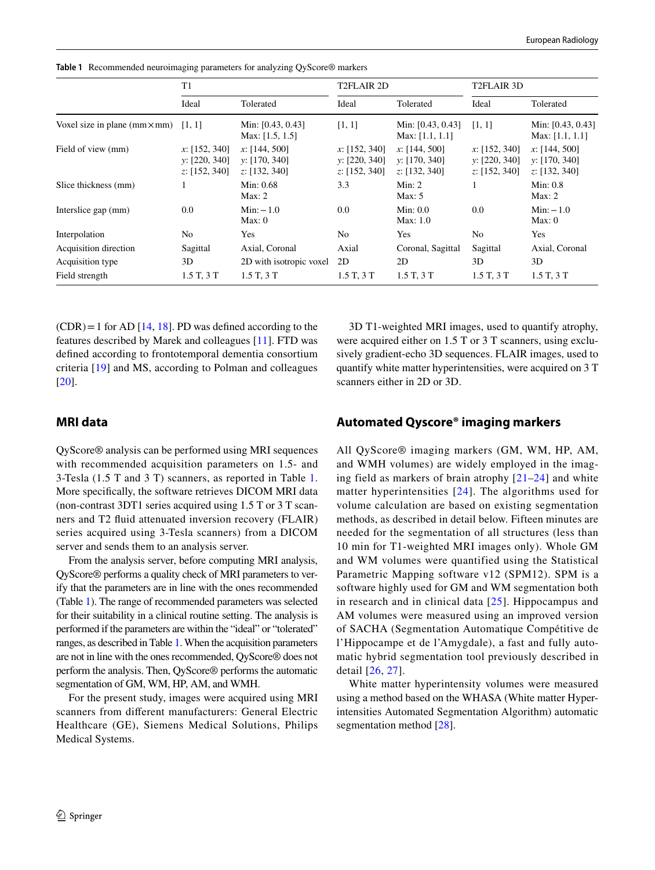|                                               | T1                                              |                                                 | T2FLAIR 2D                                      |                                                 | T2FLAIR 3D                                      |                                                 |
|-----------------------------------------------|-------------------------------------------------|-------------------------------------------------|-------------------------------------------------|-------------------------------------------------|-------------------------------------------------|-------------------------------------------------|
|                                               | Ideal                                           | Tolerated                                       | Ideal                                           | Tolerated                                       | Ideal                                           | Tolerated                                       |
| Voxel size in plane ( $mm \times mm$ ) [1, 1] |                                                 | Min: [0.43, 0.43]<br>Max: $[1.5, 1.5]$          | [1, 1]                                          | Min: [0.43, 0.43]<br>Max: $[1.1, 1.1]$          | [1, 1]                                          | Min: [0.43, 0.43]<br>Max: $[1.1, 1.1]$          |
| Field of view (mm)                            | x: [152, 340]<br>y: [220, 340]<br>z: [152, 340] | x: [144, 500]<br>v: [170, 340]<br>z: [132, 340] | x: [152, 340]<br>y: [220, 340]<br>z: [152, 340] | x: [144, 500]<br>v: [170, 340]<br>z: [132, 340] | x: [152, 340]<br>y: [220, 340]<br>z: [152, 340] | x: [144, 500]<br>y: [170, 340]<br>z: [132, 340] |
| Slice thickness (mm)                          |                                                 | Min: 0.68<br>Max: 2                             | 3.3                                             | Min: 2<br>Max: $5$                              |                                                 | Min: 0.8<br>Max: 2                              |
| Interslice gap (mm)                           | 0.0                                             | $Min: -1.0$<br>Max: 0                           | 0.0                                             | Min: 0.0<br>Max: 1.0                            | 0.0                                             | $Min: -1.0$<br>Max: 0                           |
| Interpolation                                 | N <sub>0</sub>                                  | Yes                                             | N <sub>0</sub>                                  | Yes                                             | No                                              | Yes                                             |
| Acquisition direction                         | Sagittal                                        | Axial, Coronal                                  | Axial                                           | Coronal, Sagittal                               | Sagittal                                        | Axial, Coronal                                  |
| Acquisition type                              | 3D                                              | 2D with isotropic voxel                         | 2D                                              | 2D                                              | 3D                                              | 3D                                              |
| Field strength                                | 1.5T, 3T                                        | 1.5T, 3T                                        | 1.5T, 3T                                        | 1.5T, 3T                                        | 1.5T, 3T                                        | 1.5T, 3T                                        |

<span id="page-3-0"></span>**Table 1** Recommended neuroimaging parameters for analyzing QyScore® markers

 $(CDR) = 1$  for AD [\[14](#page-11-9), [18](#page-11-13)]. PD was defined according to the features described by Marek and colleagues [[11\]](#page-11-3). FTD was defned according to frontotemporal dementia consortium criteria [[19\]](#page-11-14) and MS, according to Polman and colleagues [\[20\]](#page-11-15).

# 3D T1-weighted MRI images, used to quantify atrophy, were acquired either on 1.5 T or 3 T scanners, using exclusively gradient-echo 3D sequences. FLAIR images, used to quantify white matter hyperintensities, were acquired on 3 T scanners either in 2D or 3D.

# **MRI data**

QyScore® analysis can be performed using MRI sequences with recommended acquisition parameters on 1.5- and 3-Tesla (1.5 T and 3 T) scanners, as reported in Table [1.](#page-3-0) More specifcally, the software retrieves DICOM MRI data (non-contrast 3DT1 series acquired using 1.5 T or 3 T scanners and T2 fuid attenuated inversion recovery (FLAIR) series acquired using 3-Tesla scanners) from a DICOM server and sends them to an analysis server.

From the analysis server, before computing MRI analysis, QyScore® performs a quality check of MRI parameters to verify that the parameters are in line with the ones recommended (Table [1\)](#page-3-0). The range of recommended parameters was selected for their suitability in a clinical routine setting. The analysis is performed if the parameters are within the "ideal" or "tolerated" ranges, as described in Table [1](#page-3-0). When the acquisition parameters are not in line with the ones recommended, QyScore® does not perform the analysis. Then, QyScore® performs the automatic segmentation of GM, WM, HP, AM, and WMH.

For the present study, images were acquired using MRI scanners from diferent manufacturers: General Electric Healthcare (GE), Siemens Medical Solutions, Philips Medical Systems.

# **Automated Qyscore® imaging markers**

All QyScore® imaging markers (GM, WM, HP, AM, and WMH volumes) are widely employed in the imaging field as markers of brain atrophy [[21](#page-11-16)–[24](#page-11-17)] and white matter hyperintensities [[24](#page-11-17)]. The algorithms used for volume calculation are based on existing segmentation methods, as described in detail below. Fifteen minutes are needed for the segmentation of all structures (less than 10 min for T1-weighted MRI images only). Whole GM and WM volumes were quantified using the Statistical Parametric Mapping software v12 (SPM12). SPM is a software highly used for GM and WM segmentation both in research and in clinical data [[25](#page-11-18)]. Hippocampus and AM volumes were measured using an improved version of SACHA (Segmentation Automatique Compétitive de l'Hippocampe et de l'Amygdale), a fast and fully automatic hybrid segmentation tool previously described in detail [[26,](#page-11-19) [27](#page-11-20)].

White matter hyperintensity volumes were measured using a method based on the WHASA (White matter Hyperintensities Automated Segmentation Algorithm) automatic segmentation method [[28\]](#page-11-21).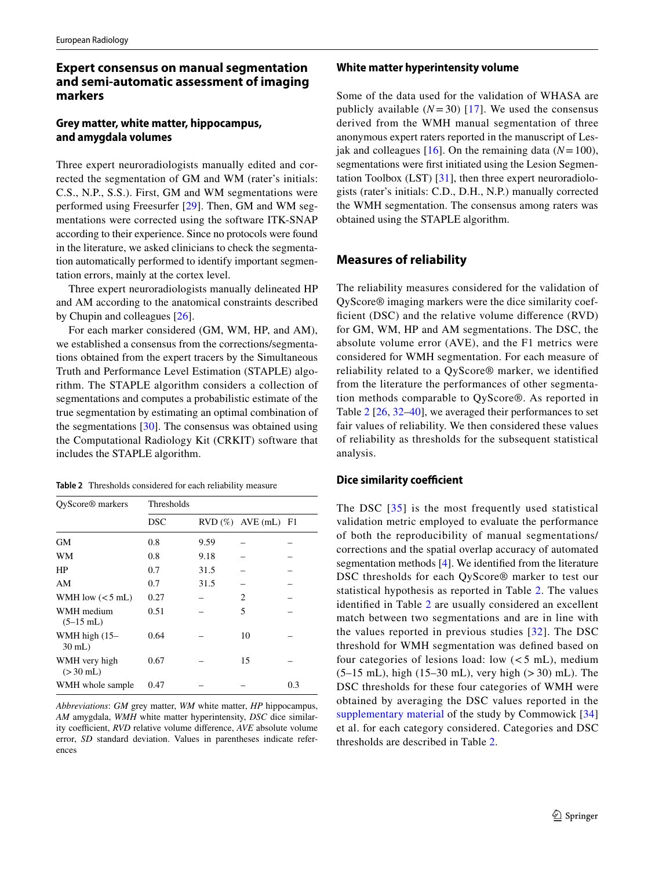# **Expert consensus on manual segmentation and semi‑automatic assessment of imaging markers**

# **Grey matter, white matter, hippocampus, and amygdala volumes**

Three expert neuroradiologists manually edited and corrected the segmentation of GM and WM (rater's initials: C.S., N.P., S.S.). First, GM and WM segmentations were performed using Freesurfer [\[29](#page-11-22)]. Then, GM and WM segmentations were corrected using the software ITK-SNAP according to their experience. Since no protocols were found in the literature, we asked clinicians to check the segmentation automatically performed to identify important segmentation errors, mainly at the cortex level.

Three expert neuroradiologists manually delineated HP and AM according to the anatomical constraints described by Chupin and colleagues [\[26](#page-11-19)].

For each marker considered (GM, WM, HP, and AM), we established a consensus from the corrections/segmentations obtained from the expert tracers by the Simultaneous Truth and Performance Level Estimation (STAPLE) algorithm. The STAPLE algorithm considers a collection of segmentations and computes a probabilistic estimate of the true segmentation by estimating an optimal combination of the segmentations  $[30]$  $[30]$ . The consensus was obtained using the Computational Radiology Kit (CRKIT) software that includes the STAPLE algorithm.

<span id="page-4-0"></span>**Table 2** Thresholds considered for each reliability measure

| QyScore <sup>®</sup> markers | Thresholds |      |                           |     |  |  |
|------------------------------|------------|------|---------------------------|-----|--|--|
|                              | <b>DSC</b> |      | $RVD$ (%) $AVE$ (mL) $F1$ |     |  |  |
| <b>GM</b>                    | 0.8        | 9.59 |                           |     |  |  |
| WM                           | 0.8        | 9.18 |                           |     |  |  |
| HP                           | 0.7        | 31.5 |                           |     |  |  |
| AM                           | 0.7        | 31.5 |                           |     |  |  |
| WMH low $(< 5$ mL)           | 0.27       |      | 2                         |     |  |  |
| WMH medium<br>$(5-15$ mL)    | 0.51       |      | 5                         |     |  |  |
| WMH high (15-<br>30 mL)      | 0.64       |      | 10                        |     |  |  |
| WMH very high<br>$(>30$ mL)  | 0.67       |      | 15                        |     |  |  |
| WMH whole sample             | 0.47       |      |                           | 0.3 |  |  |

*Abbreviations*: *GM* grey matter, *WM* white matter, *HP* hippocampus, *AM* amygdala, *WMH* white matter hyperintensity, *DSC* dice similarity coefficient, *RVD* relative volume difference, *AVE* absolute volume error, *SD* standard deviation. Values in parentheses indicate references

#### **White matter hyperintensity volume**

Some of the data used for the validation of WHASA are publicly available  $(N=30)$  [[17](#page-11-12)]. We used the consensus derived from the WMH manual segmentation of three anonymous expert raters reported in the manuscript of Lesjak and colleagues  $[16]$  $[16]$  $[16]$ . On the remaining data ( $N=100$ ), segmentations were frst initiated using the Lesion Segmentation Toolbox (LST) [\[31](#page-11-24)], then three expert neuroradiologists (rater's initials: C.D., D.H., N.P.) manually corrected the WMH segmentation. The consensus among raters was obtained using the STAPLE algorithm.

## **Measures of reliability**

The reliability measures considered for the validation of QyScore® imaging markers were the dice similarity coefficient (DSC) and the relative volume difference (RVD) for GM, WM, HP and AM segmentations. The DSC, the absolute volume error (AVE), and the F1 metrics were considered for WMH segmentation. For each measure of reliability related to a QyScore® marker, we identifed from the literature the performances of other segmentation methods comparable to QyScore®. As reported in Table [2](#page-4-0) [\[26](#page-11-19), [32–](#page-11-25)[40\]](#page-12-0), we averaged their performances to set fair values of reliability. We then considered these values of reliability as thresholds for the subsequent statistical analysis.

#### **Dice similarity coefficient**

The DSC [[35\]](#page-11-26) is the most frequently used statistical validation metric employed to evaluate the performance of both the reproducibility of manual segmentations/ corrections and the spatial overlap accuracy of automated segmentation methods [\[4](#page-11-7)]. We identifed from the literature DSC thresholds for each QyScore® marker to test our statistical hypothesis as reported in Table [2](#page-4-0). The values identifed in Table [2](#page-4-0) are usually considered an excellent match between two segmentations and are in line with the values reported in previous studies [\[32](#page-11-25)]. The DSC threshold for WMH segmentation was defned based on four categories of lesions load: low  $(< 5$  mL), medium  $(5-15 \text{ mL})$ , high  $(15-30 \text{ mL})$ , very high  $(>30) \text{ mL}$ ). The DSC thresholds for these four categories of WMH were obtained by averaging the DSC values reported in the supplementary material of the study by Commowick [[34\]](#page-11-27) et al. for each category considered. Categories and DSC thresholds are described in Table [2](#page-4-0).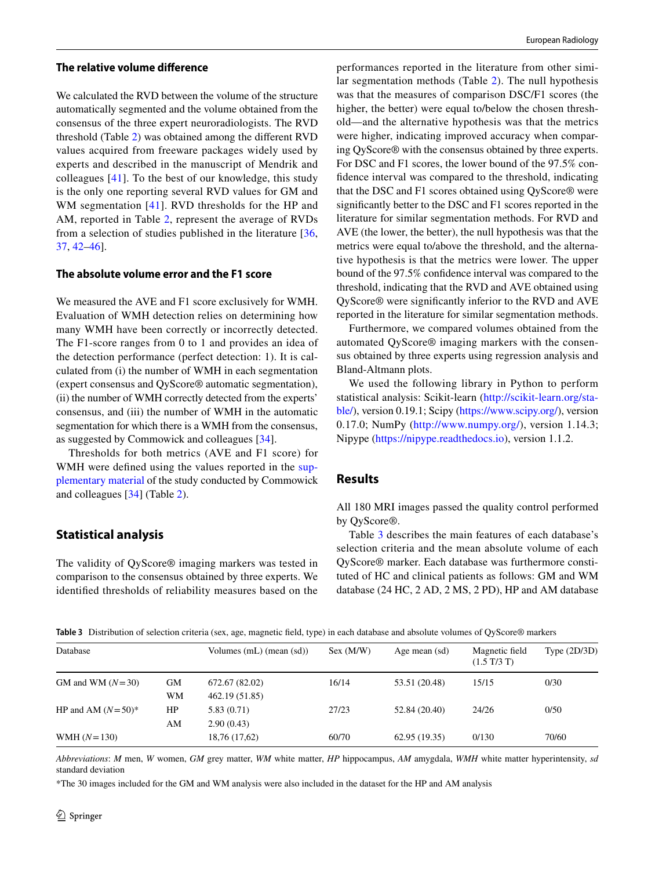#### **The relative volume diference**

We calculated the RVD between the volume of the structure automatically segmented and the volume obtained from the consensus of the three expert neuroradiologists. The RVD threshold (Table [2](#page-4-0)) was obtained among the diferent RVD values acquired from freeware packages widely used by experts and described in the manuscript of Mendrik and colleagues [\[41\]](#page-12-1). To the best of our knowledge, this study is the only one reporting several RVD values for GM and WM segmentation [[41](#page-12-1)]. RVD thresholds for the HP and AM, reported in Table [2](#page-4-0), represent the average of RVDs from a selection of studies published in the literature [\[36,](#page-12-2) [37](#page-12-3), [42](#page-12-4)[–46](#page-12-5)].

## **The absolute volume error and the F1 score**

We measured the AVE and F1 score exclusively for WMH. Evaluation of WMH detection relies on determining how many WMH have been correctly or incorrectly detected. The F1-score ranges from 0 to 1 and provides an idea of the detection performance (perfect detection: 1). It is calculated from (i) the number of WMH in each segmentation (expert consensus and QyScore® automatic segmentation), (ii) the number of WMH correctly detected from the experts' consensus, and (iii) the number of WMH in the automatic segmentation for which there is a WMH from the consensus, as suggested by Commowick and colleagues [[34](#page-11-27)].

Thresholds for both metrics (AVE and F1 score) for WMH were defined using the values reported in the supplementary material of the study conducted by Commowick and colleagues [[34\]](#page-11-27) (Table [2\)](#page-4-0).

## **Statistical analysis**

The validity of QyScore® imaging markers was tested in comparison to the consensus obtained by three experts. We identifed thresholds of reliability measures based on the

performances reported in the literature from other similar segmentation methods (Table [2](#page-4-0)). The null hypothesis was that the measures of comparison DSC/F1 scores (the higher, the better) were equal to/below the chosen threshold—and the alternative hypothesis was that the metrics were higher, indicating improved accuracy when comparing QyScore® with the consensus obtained by three experts. For DSC and F1 scores, the lower bound of the 97.5% confdence interval was compared to the threshold, indicating that the DSC and F1 scores obtained using QyScore® were signifcantly better to the DSC and F1 scores reported in the literature for similar segmentation methods. For RVD and AVE (the lower, the better), the null hypothesis was that the metrics were equal to/above the threshold, and the alternative hypothesis is that the metrics were lower. The upper bound of the 97.5% confdence interval was compared to the threshold, indicating that the RVD and AVE obtained using QyScore® were signifcantly inferior to the RVD and AVE reported in the literature for similar segmentation methods.

Furthermore, we compared volumes obtained from the automated QyScore® imaging markers with the consensus obtained by three experts using regression analysis and Bland-Altmann plots.

We used the following library in Python to perform statistical analysis: Scikit-learn ([http://scikit-learn.org/sta](http://scikit-learn.org/stable/)[ble/](http://scikit-learn.org/stable/)), version 0.19.1; Scipy [\(https://www.scipy.org/](https://www.scipy.org/)), version 0.17.0; NumPy ([http://www.numpy.org/\)](http://www.numpy.org/), version 1.14.3; Nipype ([https://nipype.readthedocs.io\)](https://nipype.readthedocs.io), version 1.1.2.

## **Results**

All 180 MRI images passed the quality control performed by QyScore®.

Table [3](#page-5-0) describes the main features of each database's selection criteria and the mean absolute volume of each QyScore® marker. Each database was furthermore constituted of HC and clinical patients as follows: GM and WM database (24 HC, 2 AD, 2 MS, 2 PD), HP and AM database

<span id="page-5-0"></span>**Table 3** Distribution of selection criteria (sex, age, magnetic feld, type) in each database and absolute volumes of QyScore® markers

| Database             |    | Volumes $(mL)$ (mean $(sd)$ ) | Sex (M/W) | Age mean (sd) | Magnetic field<br>$(1.5 \text{ T}/3 \text{ T})$ | Type $(2D/3D)$ |
|----------------------|----|-------------------------------|-----------|---------------|-------------------------------------------------|----------------|
| GM and WM $(N=30)$   | GМ | 672.67 (82.02)                | 16/14     | 53.51 (20.48) | 15/15                                           | 0/30           |
|                      | WМ | 462.19 (51.85)                |           |               |                                                 |                |
| HP and AM $(N=50)^*$ | HP | 5.83(0.71)                    | 27/23     | 52.84 (20.40) | 24/26                                           | 0/50           |
|                      | AM | 2.90(0.43)                    |           |               |                                                 |                |
| WMH $(N=130)$        |    | 18,76 (17,62)                 | 60/70     | 62.95(19.35)  | 0/130                                           | 70/60          |

*Abbreviations*: *M* men, *W* women, *GM* grey matter, *WM* white matter, *HP* hippocampus, *AM* amygdala, *WMH* white matter hyperintensity, *sd* standard deviation

\*The 30 images included for the GM and WM analysis were also included in the dataset for the HP and AM analysis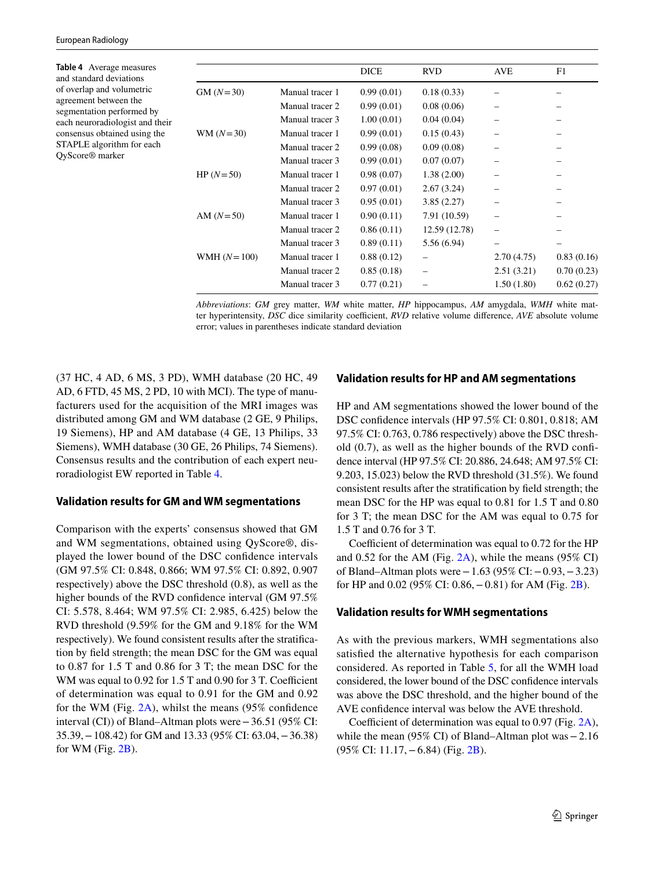<span id="page-6-0"></span>**Table 4** Average measures and standard deviations of overlap and volumetric agreement between the segmentation performed by each neuroradiologist and their consensus obtained using the STAPLE algorithm for each QyScore® marker

|               |                 | <b>DICE</b> | <b>RVD</b>    | <b>AVE</b> | F1         |
|---------------|-----------------|-------------|---------------|------------|------------|
| $GM (N=30)$   | Manual tracer 1 | 0.99(0.01)  | 0.18(0.33)    |            |            |
|               | Manual tracer 2 | 0.99(0.01)  | 0.08(0.06)    |            |            |
|               | Manual tracer 3 | 1.00(0.01)  | 0.04(0.04)    |            |            |
| $WM (N=30)$   | Manual tracer 1 | 0.99(0.01)  | 0.15(0.43)    |            |            |
|               | Manual tracer 2 | 0.99(0.08)  | 0.09(0.08)    |            |            |
|               | Manual tracer 3 | 0.99(0.01)  | 0.07(0.07)    |            |            |
| HP $(N=50)$   | Manual tracer 1 | 0.98(0.07)  | 1.38(2.00)    |            |            |
|               | Manual tracer 2 | 0.97(0.01)  | 2.67(3.24)    |            |            |
|               | Manual tracer 3 | 0.95(0.01)  | 3.85(2.27)    |            |            |
| AM $(N=50)$   | Manual tracer 1 | 0.90(0.11)  | 7.91 (10.59)  |            |            |
|               | Manual tracer 2 | 0.86(0.11)  | 12.59 (12.78) |            |            |
|               | Manual tracer 3 | 0.89(0.11)  | 5.56 (6.94)   |            |            |
| WMH $(N=100)$ | Manual tracer 1 | 0.88(0.12)  |               | 2.70(4.75) | 0.83(0.16) |
|               | Manual tracer 2 | 0.85(0.18)  |               | 2.51(3.21) | 0.70(0.23) |
|               | Manual tracer 3 | 0.77(0.21)  |               | 1.50(1.80) | 0.62(0.27) |

*Abbreviations*: *GM* grey matter, *WM* white matter, *HP* hippocampus, *AM* amygdala, *WMH* white matter hyperintensity, *DSC* dice similarity coefficient, *RVD* relative volume difference, *AVE* absolute volume error; values in parentheses indicate standard deviation

(37 HC, 4 AD, 6 MS, 3 PD), WMH database (20 HC, 49 AD, 6 FTD, 45 MS, 2 PD, 10 with MCI). The type of manufacturers used for the acquisition of the MRI images was distributed among GM and WM database (2 GE, 9 Philips, 19 Siemens), HP and AM database (4 GE, 13 Philips, 33 Siemens), WMH database (30 GE, 26 Philips, 74 Siemens). Consensus results and the contribution of each expert neuroradiologist EW reported in Table [4.](#page-6-0)

## **Validation results for GM and WM segmentations**

Comparison with the experts' consensus showed that GM and WM segmentations, obtained using QyScore®, displayed the lower bound of the DSC confdence intervals (GM 97.5% CI: 0.848, 0.866; WM 97.5% CI: 0.892, 0.907 respectively) above the DSC threshold (0.8), as well as the higher bounds of the RVD confdence interval (GM 97.5% CI: 5.578, 8.464; WM 97.5% CI: 2.985, 6.425) below the RVD threshold (9.59% for the GM and 9.18% for the WM respectively). We found consistent results after the stratifcation by feld strength; the mean DSC for the GM was equal to 0.87 for 1.5 T and 0.86 for 3 T; the mean DSC for the WM was equal to  $0.92$  for  $1.5$  T and  $0.90$  for  $3$  T. Coefficient of determination was equal to 0.91 for the GM and 0.92 for the WM (Fig. [2A](#page-8-0)), whilst the means (95% confdence interval (CI)) of Bland–Altman plots were−36.51 (95% CI: 35.39,−108.42) for GM and 13.33 (95% CI: 63.04,−36.38) for WM (Fig. [2B](#page-8-0)).

# **Validation results for HP and AM segmentations**

HP and AM segmentations showed the lower bound of the DSC confdence intervals (HP 97.5% CI: 0.801, 0.818; AM 97.5% CI: 0.763, 0.786 respectively) above the DSC threshold (0.7), as well as the higher bounds of the RVD confdence interval (HP 97.5% CI: 20.886, 24.648; AM 97.5% CI: 9.203, 15.023) below the RVD threshold (31.5%). We found consistent results after the stratifcation by feld strength; the mean DSC for the HP was equal to 0.81 for 1.5 T and 0.80 for 3 T; the mean DSC for the AM was equal to 0.75 for 1.5 T and 0.76 for 3 T.

Coefficient of determination was equal to  $0.72$  for the HP and 0.52 for the AM (Fig. [2A](#page-8-0)), while the means (95% CI) of Bland–Altman plots were−1.63 (95% CI:−0.93,−3.23) for HP and 0.02 (95% CI: 0.86,−0.81) for AM (Fig. [2B\)](#page-8-0).

## **Validation results for WMH segmentations**

As with the previous markers, WMH segmentations also satisfed the alternative hypothesis for each comparison considered. As reported in Table [5](#page-8-1), for all the WMH load considered, the lower bound of the DSC confdence intervals was above the DSC threshold, and the higher bound of the AVE confdence interval was below the AVE threshold.

Coefficient of determination was equal to  $0.97$  (Fig. [2A](#page-8-0)), while the mean (95% CI) of Bland–Altman plot was−2.16 (95% CI: 11.17,−6.84) (Fig. [2B\)](#page-8-0).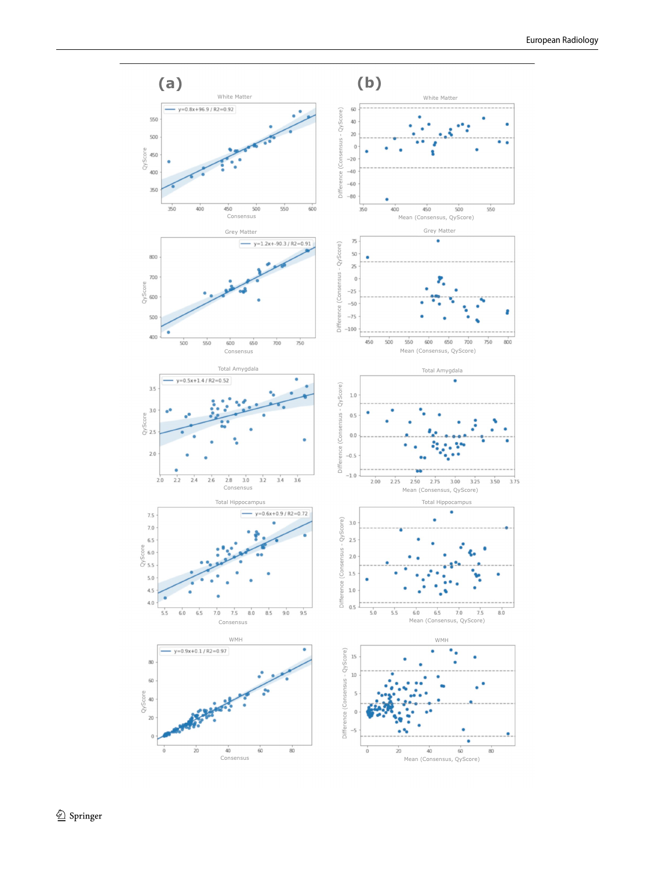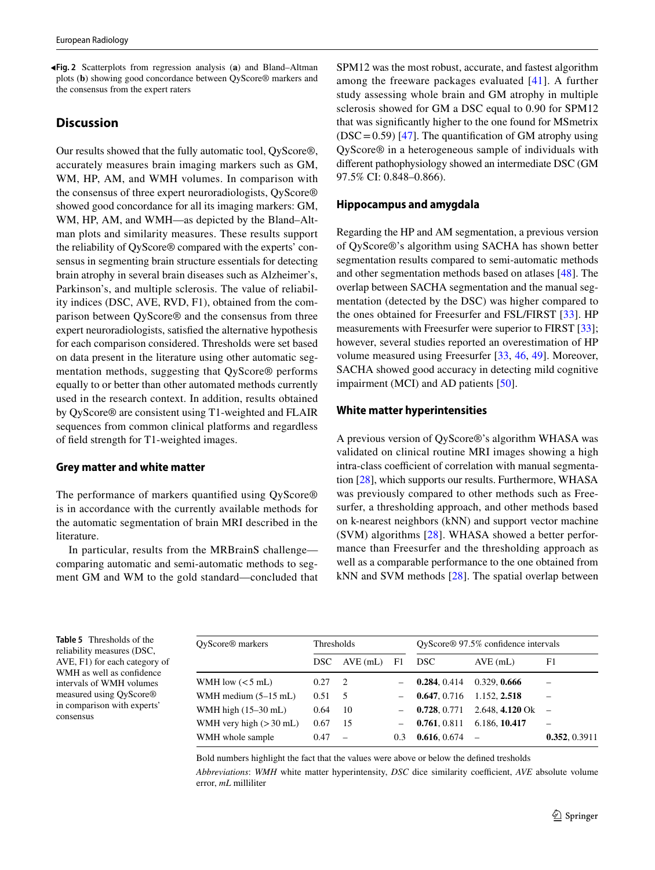<span id="page-8-0"></span>**Fig. 2** Scatterplots from regression analysis (**a**) and Bland–Altman ◂ plots (**b**) showing good concordance between QyScore® markers and the consensus from the expert raters

#### **Discussion**

Our results showed that the fully automatic tool, QyScore®, accurately measures brain imaging markers such as GM, WM, HP, AM, and WMH volumes. In comparison with the consensus of three expert neuroradiologists, QyScore® showed good concordance for all its imaging markers: GM, WM, HP, AM, and WMH—as depicted by the Bland–Altman plots and similarity measures. These results support the reliability of QyScore® compared with the experts' consensus in segmenting brain structure essentials for detecting brain atrophy in several brain diseases such as Alzheimer's, Parkinson's, and multiple sclerosis. The value of reliability indices (DSC, AVE, RVD, F1), obtained from the comparison between QyScore® and the consensus from three expert neuroradiologists, satisfed the alternative hypothesis for each comparison considered. Thresholds were set based on data present in the literature using other automatic segmentation methods, suggesting that QyScore® performs equally to or better than other automated methods currently used in the research context. In addition, results obtained by QyScore® are consistent using T1-weighted and FLAIR sequences from common clinical platforms and regardless of feld strength for T1-weighted images.

#### **Grey matter and white matter**

The performance of markers quantifed using QyScore® is in accordance with the currently available methods for the automatic segmentation of brain MRI described in the literature.

In particular, results from the MRBrainS challenge comparing automatic and semi-automatic methods to segment GM and WM to the gold standard—concluded that SPM12 was the most robust, accurate, and fastest algorithm among the freeware packages evaluated [[41](#page-12-1)]. A further study assessing whole brain and GM atrophy in multiple sclerosis showed for GM a DSC equal to 0.90 for SPM12 that was signifcantly higher to the one found for MSmetrix  $(DSC = 0.59)$  [\[47\]](#page-12-6). The quantification of GM atrophy using QyScore® in a heterogeneous sample of individuals with diferent pathophysiology showed an intermediate DSC (GM 97.5% CI: 0.848–0.866).

#### **Hippocampus and amygdala**

Regarding the HP and AM segmentation, a previous version of QyScore®'s algorithm using SACHA has shown better segmentation results compared to semi-automatic methods and other segmentation methods based on atlases [\[48](#page-12-7)]. The overlap between SACHA segmentation and the manual segmentation (detected by the DSC) was higher compared to the ones obtained for Freesurfer and FSL/FIRST [\[33](#page-11-28)]. HP measurements with Freesurfer were superior to FIRST [\[33](#page-11-28)]; however, several studies reported an overestimation of HP volume measured using Freesurfer [[33,](#page-11-28) [46](#page-12-5), [49\]](#page-12-8). Moreover, SACHA showed good accuracy in detecting mild cognitive impairment (MCI) and AD patients [[50\]](#page-12-9).

#### **White matter hyperintensities**

A previous version of QyScore®'s algorithm WHASA was validated on clinical routine MRI images showing a high intra-class coefficient of correlation with manual segmentation [\[28\]](#page-11-21), which supports our results. Furthermore, WHASA was previously compared to other methods such as Freesurfer, a thresholding approach, and other methods based on k-nearest neighbors (kNN) and support vector machine (SVM) algorithms [[28](#page-11-21)]. WHASA showed a better performance than Freesurfer and the thresholding approach as well as a comparable performance to the one obtained from kNN and SVM methods [\[28](#page-11-21)]. The spatial overlap between

<span id="page-8-1"></span>**Table 5** Thresholds of the reliability measures (DSC, AVE, F1) for each category of WMH as well as confidence intervals of WMH volumes measured using QyScore® in comparison with experts' consensus

QyScore® markers Thresholds QyScore® 97.5% confdence intervals DSC AVE (mL) F1 DSC AVE (mL) F1 WMH low (<5 mL) 0.27 2 – **0.284**, 0.414 0.329, **0.666** – WMH medium (5–15 mL) 0.51 5 – **0.647**, 0.716 1.152, **2.518** – WMH high (15–30 mL) 0.64 10 – **0.728**, 0.771 2.648, **4.120** Ok – WMH very high (>30 mL) 0.67 15 – **0.761**, 0.811 6.186, **10.417** – WMH whole sample 0.47 – 0.3 **0.616**, 0.674 – **0.352**, 0.3911

Bold numbers highlight the fact that the values were above or below the defned tresholds

*Abbreviations: WMH* white matter hyperintensity, *DSC* dice similarity coefficient, *AVE* absolute volume error, *mL* milliliter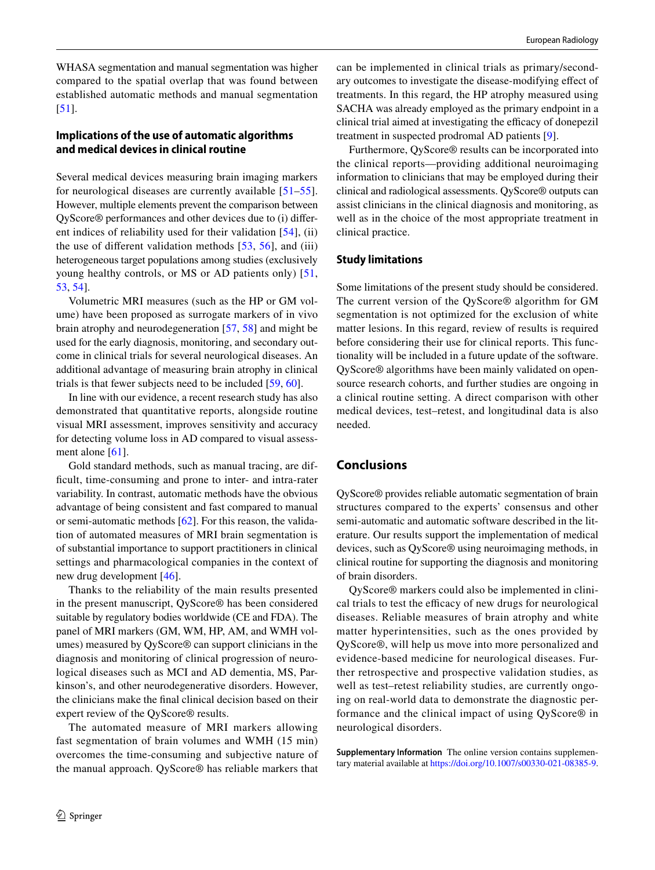WHASA segmentation and manual segmentation was higher compared to the spatial overlap that was found between established automatic methods and manual segmentation [\[51\]](#page-12-10).

## **Implications of the use of automatic algorithms and medical devices in clinical routine**

Several medical devices measuring brain imaging markers for neurological diseases are currently available [\[51–](#page-12-10)[55](#page-12-11)]. However, multiple elements prevent the comparison between QyScore® performances and other devices due to (i) diferent indices of reliability used for their validation [[54\]](#page-12-12), (ii) the use of different validation methods  $[53, 56]$  $[53, 56]$  $[53, 56]$  $[53, 56]$  $[53, 56]$ , and (iii) heterogeneous target populations among studies (exclusively young healthy controls, or MS or AD patients only) [\[51,](#page-12-10) [53](#page-12-13), [54](#page-12-12)].

Volumetric MRI measures (such as the HP or GM volume) have been proposed as surrogate markers of in vivo brain atrophy and neurodegeneration [\[57](#page-12-15), [58\]](#page-12-16) and might be used for the early diagnosis, monitoring, and secondary outcome in clinical trials for several neurological diseases. An additional advantage of measuring brain atrophy in clinical trials is that fewer subjects need to be included [[59](#page-12-17), [60](#page-12-18)].

In line with our evidence, a recent research study has also demonstrated that quantitative reports, alongside routine visual MRI assessment, improves sensitivity and accuracy for detecting volume loss in AD compared to visual assessment alone [\[61](#page-12-19)].

Gold standard methods, such as manual tracing, are diffcult, time-consuming and prone to inter- and intra-rater variability. In contrast, automatic methods have the obvious advantage of being consistent and fast compared to manual or semi-automatic methods [\[62](#page-12-20)]. For this reason, the validation of automated measures of MRI brain segmentation is of substantial importance to support practitioners in clinical settings and pharmacological companies in the context of new drug development [[46\]](#page-12-5).

Thanks to the reliability of the main results presented in the present manuscript, QyScore® has been considered suitable by regulatory bodies worldwide (CE and FDA). The panel of MRI markers (GM, WM, HP, AM, and WMH volumes) measured by QyScore® can support clinicians in the diagnosis and monitoring of clinical progression of neurological diseases such as MCI and AD dementia, MS, Parkinson's, and other neurodegenerative disorders. However, the clinicians make the fnal clinical decision based on their expert review of the QyScore® results.

The automated measure of MRI markers allowing fast segmentation of brain volumes and WMH (15 min) overcomes the time-consuming and subjective nature of the manual approach. QyScore® has reliable markers that can be implemented in clinical trials as primary/secondary outcomes to investigate the disease-modifying efect of treatments. In this regard, the HP atrophy measured using SACHA was already employed as the primary endpoint in a clinical trial aimed at investigating the efficacy of donepezil treatment in suspected prodromal AD patients [[9\]](#page-11-1).

Furthermore, QyScore® results can be incorporated into the clinical reports—providing additional neuroimaging information to clinicians that may be employed during their clinical and radiological assessments. QyScore® outputs can assist clinicians in the clinical diagnosis and monitoring, as well as in the choice of the most appropriate treatment in clinical practice.

## **Study limitations**

Some limitations of the present study should be considered. The current version of the QyScore® algorithm for GM segmentation is not optimized for the exclusion of white matter lesions. In this regard, review of results is required before considering their use for clinical reports. This functionality will be included in a future update of the software. QyScore® algorithms have been mainly validated on opensource research cohorts, and further studies are ongoing in a clinical routine setting. A direct comparison with other medical devices, test–retest, and longitudinal data is also needed.

# **Conclusions**

QyScore® provides reliable automatic segmentation of brain structures compared to the experts' consensus and other semi-automatic and automatic software described in the literature. Our results support the implementation of medical devices, such as QyScore® using neuroimaging methods, in clinical routine for supporting the diagnosis and monitoring of brain disorders.

QyScore® markers could also be implemented in clinical trials to test the efficacy of new drugs for neurological diseases. Reliable measures of brain atrophy and white matter hyperintensities, such as the ones provided by QyScore®, will help us move into more personalized and evidence-based medicine for neurological diseases. Further retrospective and prospective validation studies, as well as test–retest reliability studies, are currently ongoing on real-world data to demonstrate the diagnostic performance and the clinical impact of using QyScore® in neurological disorders.

**Supplementary Information** The online version contains supplementary material available at<https://doi.org/10.1007/s00330-021-08385-9>.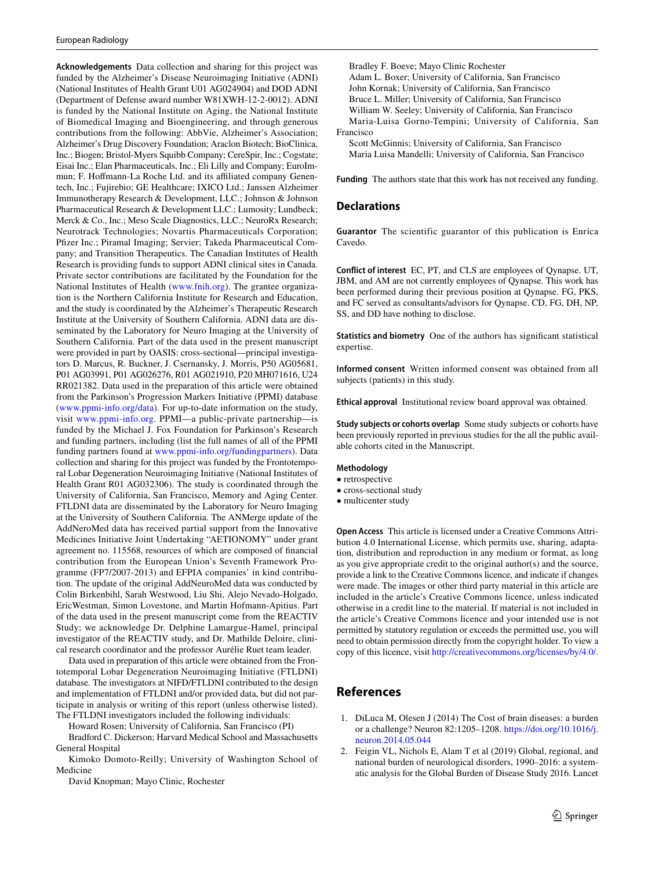**Acknowledgements** Data collection and sharing for this project was funded by the Alzheimer's Disease Neuroimaging Initiative (ADNI) (National Institutes of Health Grant U01 AG024904) and DOD ADNI (Department of Defense award number W81XWH-12-2-0012). ADNI is funded by the National Institute on Aging, the National Institute of Biomedical Imaging and Bioengineering, and through generous contributions from the following: AbbVie, Alzheimer's Association; Alzheimer's Drug Discovery Foundation; Araclon Biotech; BioClinica, Inc.; Biogen; Bristol-Myers Squibb Company; CereSpir, Inc.; Cogstate; Eisai Inc.; Elan Pharmaceuticals, Inc.; Eli Lilly and Company; EuroImmun; F. Hoffmann-La Roche Ltd. and its affiliated company Genentech, Inc.; Fujirebio; GE Healthcare; IXICO Ltd.; Janssen Alzheimer Immunotherapy Research & Development, LLC.; Johnson & Johnson Pharmaceutical Research & Development LLC.; Lumosity; Lundbeck; Merck & Co., Inc.; Meso Scale Diagnostics, LLC.; NeuroRx Research; Neurotrack Technologies; Novartis Pharmaceuticals Corporation; Pfzer Inc.; Piramal Imaging; Servier; Takeda Pharmaceutical Company; and Transition Therapeutics. The Canadian Institutes of Health Research is providing funds to support ADNI clinical sites in Canada. Private sector contributions are facilitated by the Foundation for the National Institutes of Health [\(www.fnih.org\)](http://www.fnih.org). The grantee organization is the Northern California Institute for Research and Education, and the study is coordinated by the Alzheimer's Therapeutic Research Institute at the University of Southern California. ADNI data are disseminated by the Laboratory for Neuro Imaging at the University of Southern California. Part of the data used in the present manuscript were provided in part by OASIS: cross-sectional—principal investigators D. Marcus, R. Buckner, J. Csernansky, J. Morris, P50 AG05681, P01 AG03991, P01 AG026276, R01 AG021910, P20 MH071616, U24 RR021382. Data used in the preparation of this article were obtained from the Parkinson's Progression Markers Initiative (PPMI) database ([www.ppmi-info.org/data](http://www.ppmi-info.org/data)). For up-to-date information on the study, visit [www.ppmi-info.org.](http://www.ppmi-info.org) PPMI—a public-private partnership—is funded by the Michael J. Fox Foundation for Parkinson's Research and funding partners, including (list the full names of all of the PPMI funding partners found at [www.ppmi-info.org/fundingpartners\)](http://www.ppmi-info.org/fundingpartners). Data collection and sharing for this project was funded by the Frontotemporal Lobar Degeneration Neuroimaging Initiative (National Institutes of Health Grant R01 AG032306). The study is coordinated through the University of California, San Francisco, Memory and Aging Center. FTLDNI data are disseminated by the Laboratory for Neuro Imaging at the University of Southern California. The ANMerge update of the AddNeroMed data has received partial support from the Innovative Medicines Initiative Joint Undertaking "AETIONOMY" under grant agreement no. 115568, resources of which are composed of fnancial contribution from the European Union's Seventh Framework Programme (FP7/2007-2013) and EFPIA companies' in kind contribution. The update of the original AddNeuroMed data was conducted by Colin Birkenbihl, Sarah Westwood, Liu Shi, Alejo Nevado-Holgado, EricWestman, Simon Lovestone, and Martin Hofmann-Apitius. Part of the data used in the present manuscript come from the REACTIV Study; we acknowledge Dr. Delphine Lamargue-Hamel, principal investigator of the REACTIV study, and Dr. Mathilde Deloire, clinical research coordinator and the professor Aurélie Ruet team leader.

Data used in preparation of this article were obtained from the Frontotemporal Lobar Degeneration Neuroimaging Initiative (FTLDNI) database. The investigators at NIFD/FTLDNI contributed to the design and implementation of FTLDNI and/or provided data, but did not participate in analysis or writing of this report (unless otherwise listed). The FTLDNI investigators included the following individuals:

Howard Rosen; University of California, San Francisco (PI)

Bradford C. Dickerson; Harvard Medical School and Massachusetts General Hospital

Kimoko Domoto-Reilly; University of Washington School of Medicine

David Knopman; Mayo Clinic, Rochester

Bradley F. Boeve; Mayo Clinic Rochester Adam L. Boxer; University of California, San Francisco John Kornak; University of California, San Francisco Bruce L. Miller; University of California, San Francisco William W. Seeley; University of California, San Francisco Maria-Luisa Gorno-Tempini; University of California, San Francisco Scott McGinnis; University of California, San Francisco

Maria Luisa Mandelli; University of California, San Francisco

**Funding** The authors state that this work has not received any funding.

#### **Declarations**

**Guarantor** The scientific guarantor of this publication is Enrica Cavedo.

**Conflict of interest** EC, PT, and CLS are employees of Qynapse. UT, JBM, and AM are not currently employees of Qynapse. This work has been performed during their previous position at Qynapse. FG, PKS, and FC served as consultants/advisors for Qynapse. CD, FG, DH, NP, SS, and DD have nothing to disclose.

**Statistics and biometry** One of the authors has signifcant statistical expertise.

**Informed consent** Written informed consent was obtained from all subjects (patients) in this study.

**Ethical approval** Institutional review board approval was obtained.

**Study subjects or cohorts overlap** Some study subjects or cohorts have been previously reported in previous studies for the all the public available cohorts cited in the Manuscript.

#### **Methodology**

- retrospective
- cross-sectional study
- multicenter study

**Open Access** This article is licensed under a Creative Commons Attribution 4.0 International License, which permits use, sharing, adaptation, distribution and reproduction in any medium or format, as long as you give appropriate credit to the original author(s) and the source, provide a link to the Creative Commons licence, and indicate if changes were made. The images or other third party material in this article are included in the article's Creative Commons licence, unless indicated otherwise in a credit line to the material. If material is not included in the article's Creative Commons licence and your intended use is not permitted by statutory regulation or exceeds the permitted use, you will need to obtain permission directly from the copyright holder. To view a copy of this licence, visit<http://creativecommons.org/licenses/by/4.0/>.

## **References**

- <span id="page-10-0"></span>1. DiLuca M, Olesen J (2014) The Cost of brain diseases: a burden or a challenge? Neuron 82:1205–1208. [https://doi.org/10.1016/j.](https://doi.org/10.1016/j.neuron.2014.05.044) [neuron.2014.05.044](https://doi.org/10.1016/j.neuron.2014.05.044)
- <span id="page-10-1"></span>2. Feigin VL, Nichols E, Alam T et al (2019) Global, regional, and national burden of neurological disorders, 1990–2016: a systematic analysis for the Global Burden of Disease Study 2016. Lancet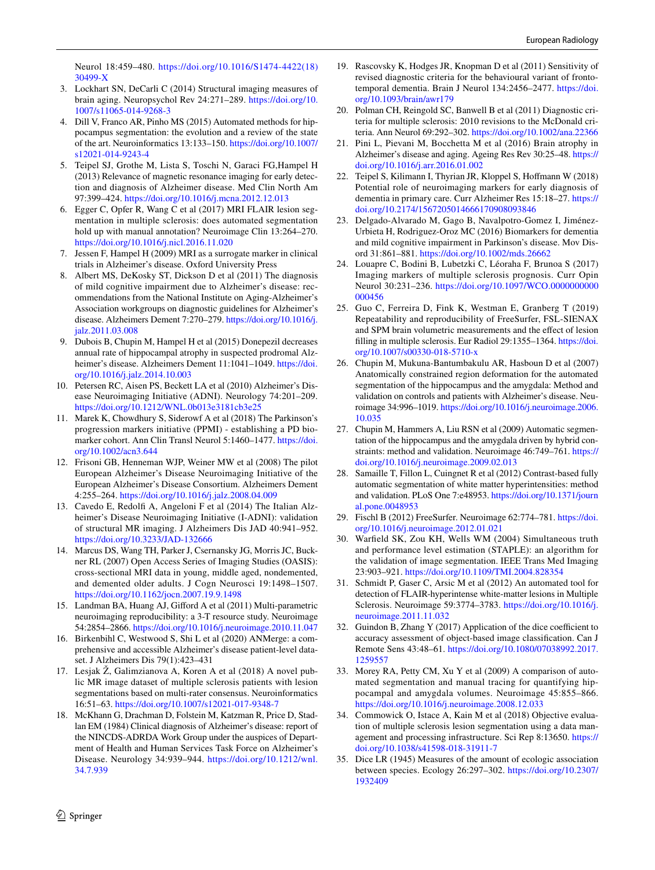Neurol 18:459–480. [https://doi.org/10.1016/S1474-4422\(18\)](https://doi.org/10.1016/S1474-4422(18)30499-X) [30499-X](https://doi.org/10.1016/S1474-4422(18)30499-X)

- <span id="page-11-6"></span>3. Lockhart SN, DeCarli C (2014) Structural imaging measures of brain aging. Neuropsychol Rev 24:271–289. [https://doi.org/10.](https://doi.org/10.1007/s11065-014-9268-3) [1007/s11065-014-9268-3](https://doi.org/10.1007/s11065-014-9268-3)
- <span id="page-11-7"></span>4. Dill V, Franco AR, Pinho MS (2015) Automated methods for hippocampus segmentation: the evolution and a review of the state of the art. Neuroinformatics 13:133–150. [https://doi.org/10.1007/](https://doi.org/10.1007/s12021-014-9243-4) [s12021-014-9243-4](https://doi.org/10.1007/s12021-014-9243-4)
- 5. Teipel SJ, Grothe M, Lista S, Toschi N, Garaci FG,Hampel H (2013) Relevance of magnetic resonance imaging for early detection and diagnosis of Alzheimer disease. Med Clin North Am 97:399–424.<https://doi.org/10.1016/j.mcna.2012.12.013>
- <span id="page-11-8"></span>6. Egger C, Opfer R, Wang C et al (2017) MRI FLAIR lesion segmentation in multiple sclerosis: does automated segmentation hold up with manual annotation? Neuroimage Clin 13:264–270. <https://doi.org/10.1016/j.nicl.2016.11.020>
- <span id="page-11-0"></span>7. Jessen F, Hampel H (2009) MRI as a surrogate marker in clinical trials in Alzheimer's disease. Oxford University Press
- 8. Albert MS, DeKosky ST, Dickson D et al (2011) The diagnosis of mild cognitive impairment due to Alzheimer's disease: recommendations from the National Institute on Aging-Alzheimer's Association workgroups on diagnostic guidelines for Alzheimer's disease. Alzheimers Dement 7:270–279. [https://doi.org/10.1016/j.](https://doi.org/10.1016/j.jalz.2011.03.008) [jalz.2011.03.008](https://doi.org/10.1016/j.jalz.2011.03.008)
- <span id="page-11-1"></span>9. Dubois B, Chupin M, Hampel H et al (2015) Donepezil decreases annual rate of hippocampal atrophy in suspected prodromal Alzheimer's disease. Alzheimers Dement 11:1041-1049. [https://doi.](https://doi.org/10.1016/j.jalz.2014.10.003) [org/10.1016/j.jalz.2014.10.003](https://doi.org/10.1016/j.jalz.2014.10.003)
- <span id="page-11-2"></span>10. Petersen RC, Aisen PS, Beckett LA et al (2010) Alzheimer's Disease Neuroimaging Initiative (ADNI). Neurology 74:201–209. <https://doi.org/10.1212/WNL.0b013e3181cb3e25>
- <span id="page-11-3"></span>11. Marek K, Chowdhury S, Siderowf A et al (2018) The Parkinson's progression markers initiative (PPMI) - establishing a PD biomarker cohort. Ann Clin Transl Neurol 5:1460–1477. [https://doi.](https://doi.org/10.1002/acn3.644) [org/10.1002/acn3.644](https://doi.org/10.1002/acn3.644)
- <span id="page-11-4"></span>12. Frisoni GB, Henneman WJP, Weiner MW et al (2008) The pilot European Alzheimer's Disease Neuroimaging Initiative of the European Alzheimer's Disease Consortium. Alzheimers Dement 4:255–264.<https://doi.org/10.1016/j.jalz.2008.04.009>
- <span id="page-11-5"></span>13. Cavedo E, Redolf A, Angeloni F et al (2014) The Italian Alzheimer's Disease Neuroimaging Initiative (I-ADNI): validation of structural MR imaging. J Alzheimers Dis JAD 40:941–952. <https://doi.org/10.3233/JAD-132666>
- <span id="page-11-9"></span>14. Marcus DS, Wang TH, Parker J, Csernansky JG, Morris JC, Buckner RL (2007) Open Access Series of Imaging Studies (OASIS): cross-sectional MRI data in young, middle aged, nondemented, and demented older adults. J Cogn Neurosci 19:1498–1507. <https://doi.org/10.1162/jocn.2007.19.9.1498>
- <span id="page-11-10"></span>15. Landman BA, Huang AJ, Giford A et al (2011) Multi-parametric neuroimaging reproducibility: a 3-T resource study. Neuroimage 54:2854–2866.<https://doi.org/10.1016/j.neuroimage.2010.11.047>
- <span id="page-11-11"></span>16. Birkenbihl C, Westwood S, Shi L et al (2020) ANMerge: a comprehensive and accessible Alzheimer's disease patient-level dataset. J Alzheimers Dis 79(1):423–431
- <span id="page-11-12"></span>17. Lesjak Ž, Galimzianova A, Koren A et al (2018) A novel public MR image dataset of multiple sclerosis patients with lesion segmentations based on multi-rater consensus. Neuroinformatics 16:51–63. <https://doi.org/10.1007/s12021-017-9348-7>
- <span id="page-11-13"></span>18. McKhann G, Drachman D, Folstein M, Katzman R, Price D, Stadlan EM (1984) Clinical diagnosis of Alzheimer's disease: report of the NINCDS-ADRDA Work Group under the auspices of Department of Health and Human Services Task Force on Alzheimer's Disease. Neurology 34:939–944. [https://doi.org/10.1212/wnl.](https://doi.org/10.1212/wnl.34.7.939) [34.7.939](https://doi.org/10.1212/wnl.34.7.939)
- <span id="page-11-14"></span>19. Rascovsky K, Hodges JR, Knopman D et al (2011) Sensitivity of revised diagnostic criteria for the behavioural variant of frontotemporal dementia. Brain J Neurol 134:2456–2477. [https://doi.](https://doi.org/10.1093/brain/awr179) [org/10.1093/brain/awr179](https://doi.org/10.1093/brain/awr179)
- <span id="page-11-15"></span>20. Polman CH, Reingold SC, Banwell B et al (2011) Diagnostic criteria for multiple sclerosis: 2010 revisions to the McDonald criteria. Ann Neurol 69:292–302.<https://doi.org/10.1002/ana.22366>
- <span id="page-11-16"></span>21. Pini L, Pievani M, Bocchetta M et al (2016) Brain atrophy in Alzheimer's disease and aging. Ageing Res Rev 30:25–48. [https://](https://doi.org/10.1016/j.arr.2016.01.002) [doi.org/10.1016/j.arr.2016.01.002](https://doi.org/10.1016/j.arr.2016.01.002)
- 22. Teipel S, Kilimann I, Thyrian JR, Kloppel S, Hofmann W (2018) Potential role of neuroimaging markers for early diagnosis of dementia in primary care. Curr Alzheimer Res 15:18–27. [https://](https://doi.org/10.2174/1567205014666170908093846) [doi.org/10.2174/1567205014666170908093846](https://doi.org/10.2174/1567205014666170908093846)
- 23. Delgado-Alvarado M, Gago B, Navalpotro-Gomez I, Jiménez-Urbieta H, Rodriguez-Oroz MC (2016) Biomarkers for dementia and mild cognitive impairment in Parkinson's disease. Mov Disord 31:861–881.<https://doi.org/10.1002/mds.26662>
- <span id="page-11-17"></span>24. Louapre C, Bodini B, Lubetzki C, Léoraha F, Brunoa S (2017) Imaging markers of multiple sclerosis prognosis. Curr Opin Neurol 30:231–236. [https://doi.org/10.1097/WCO.0000000000](https://doi.org/10.1097/WCO.0000000000000456) [000456](https://doi.org/10.1097/WCO.0000000000000456)
- <span id="page-11-18"></span>25. Guo C, Ferreira D, Fink K, Westman E, Granberg T (2019) Repeatability and reproducibility of FreeSurfer, FSL-SIENAX and SPM brain volumetric measurements and the efect of lesion flling in multiple sclerosis. Eur Radiol 29:1355–1364. [https://doi.](https://doi.org/10.1007/s00330-018-5710-x) [org/10.1007/s00330-018-5710-x](https://doi.org/10.1007/s00330-018-5710-x)
- <span id="page-11-19"></span>26. Chupin M, Mukuna-Bantumbakulu AR, Hasboun D et al (2007) Anatomically constrained region deformation for the automated segmentation of the hippocampus and the amygdala: Method and validation on controls and patients with Alzheimer's disease. Neuroimage 34:996–1019. [https://doi.org/10.1016/j.neuroimage.2006.](https://doi.org/10.1016/j.neuroimage.2006.10.035) [10.035](https://doi.org/10.1016/j.neuroimage.2006.10.035)
- <span id="page-11-20"></span>27. Chupin M, Hammers A, Liu RSN et al (2009) Automatic segmentation of the hippocampus and the amygdala driven by hybrid constraints: method and validation. Neuroimage 46:749–761. [https://](https://doi.org/10.1016/j.neuroimage.2009.02.013) [doi.org/10.1016/j.neuroimage.2009.02.013](https://doi.org/10.1016/j.neuroimage.2009.02.013)
- <span id="page-11-21"></span>28. Samaille T, Fillon L, Cuingnet R et al (2012) Contrast-based fully automatic segmentation of white matter hyperintensities: method and validation. PLoS One 7:e48953. [https://doi.org/10.1371/journ](https://doi.org/10.1371/journal.pone.0048953) [al.pone.0048953](https://doi.org/10.1371/journal.pone.0048953)
- <span id="page-11-22"></span>29. Fischl B (2012) FreeSurfer. Neuroimage 62:774–781. [https://doi.](https://doi.org/10.1016/j.neuroimage.2012.01.021) [org/10.1016/j.neuroimage.2012.01.021](https://doi.org/10.1016/j.neuroimage.2012.01.021)
- <span id="page-11-23"></span>30. Warfeld SK, Zou KH, Wells WM (2004) Simultaneous truth and performance level estimation (STAPLE): an algorithm for the validation of image segmentation. IEEE Trans Med Imaging 23:903–921.<https://doi.org/10.1109/TMI.2004.828354>
- <span id="page-11-24"></span>31. Schmidt P, Gaser C, Arsic M et al (2012) An automated tool for detection of FLAIR-hyperintense white-matter lesions in Multiple Sclerosis. Neuroimage 59:3774–3783. [https://doi.org/10.1016/j.](https://doi.org/10.1016/j.neuroimage.2011.11.032) [neuroimage.2011.11.032](https://doi.org/10.1016/j.neuroimage.2011.11.032)
- <span id="page-11-25"></span>32. Guindon B, Zhang Y  $(2017)$  Application of the dice coefficient to accuracy assessment of object-based image classifcation. Can J Remote Sens 43:48–61. [https://doi.org/10.1080/07038992.2017.](https://doi.org/10.1080/07038992.2017.1259557) [1259557](https://doi.org/10.1080/07038992.2017.1259557)
- <span id="page-11-28"></span>33. Morey RA, Petty CM, Xu Y et al (2009) A comparison of automated segmentation and manual tracing for quantifying hippocampal and amygdala volumes. Neuroimage 45:855–866. <https://doi.org/10.1016/j.neuroimage.2008.12.033>
- <span id="page-11-27"></span>34. Commowick O, Istace A, Kain M et al (2018) Objective evaluation of multiple sclerosis lesion segmentation using a data management and processing infrastructure. Sci Rep 8:13650. [https://](https://doi.org/10.1038/s41598-018-31911-7) [doi.org/10.1038/s41598-018-31911-7](https://doi.org/10.1038/s41598-018-31911-7)
- <span id="page-11-26"></span>35. Dice LR (1945) Measures of the amount of ecologic association between species. Ecology 26:297–302. [https://doi.org/10.2307/](https://doi.org/10.2307/1932409) [1932409](https://doi.org/10.2307/1932409)